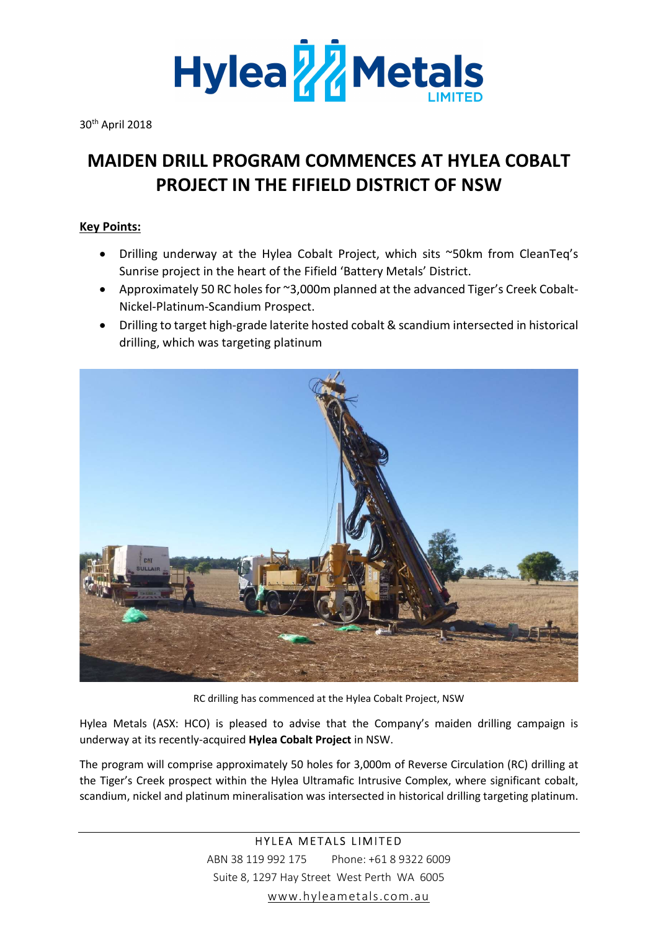

30th April 2018

## MAIDEN DRILL PROGRAM COMMENCES AT HYLEA COBALT PROJECT IN THE FIFIELD DISTRICT OF NSW

### Key Points:

- Drilling underway at the Hylea Cobalt Project, which sits ~50km from CleanTeq's Sunrise project in the heart of the Fifield 'Battery Metals' District.
- Approximately 50 RC holes for ~3,000m planned at the advanced Tiger's Creek Cobalt-Nickel-Platinum-Scandium Prospect.
- Drilling to target high-grade laterite hosted cobalt & scandium intersected in historical drilling, which was targeting platinum



RC drilling has commenced at the Hylea Cobalt Project, NSW

Hylea Metals (ASX: HCO) is pleased to advise that the Company's maiden drilling campaign is underway at its recently-acquired Hylea Cobalt Project in NSW.

The program will comprise approximately 50 holes for 3,000m of Reverse Circulation (RC) drilling at the Tiger's Creek prospect within the Hylea Ultramafic Intrusive Complex, where significant cobalt, scandium, nickel and platinum mineralisation was intersected in historical drilling targeting platinum.

> HYLEA METALS LIMITED ABN 38 119 992 175 Phone: +61 8 9322 6009 Suite 8, 1297 Hay Street West Perth WA 6005 www.hyleametals.com.au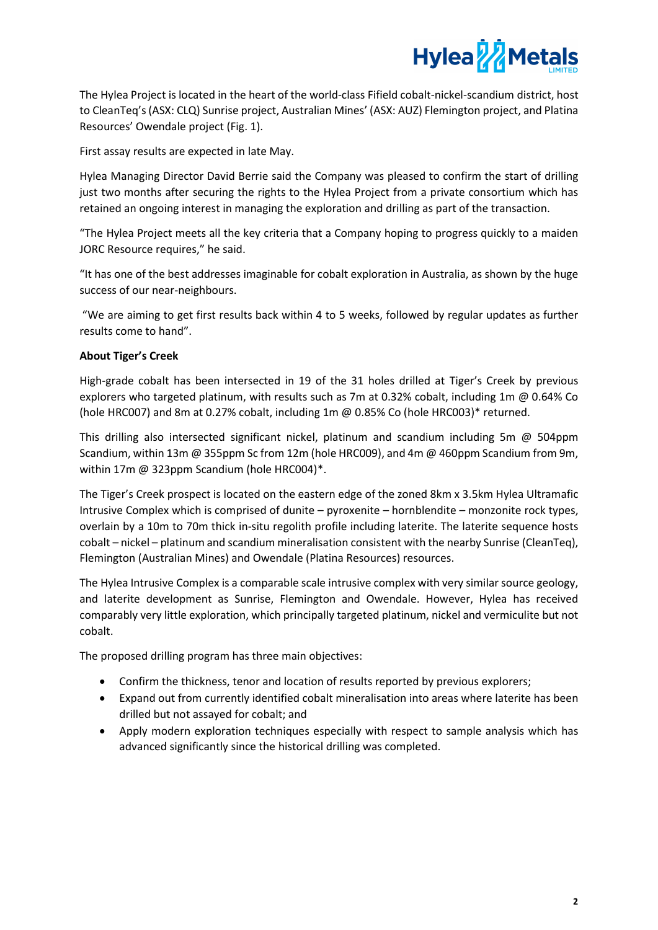

The Hylea Project is located in the heart of the world-class Fifield cobalt-nickel-scandium district, host to CleanTeq's (ASX: CLQ) Sunrise project, Australian Mines' (ASX: AUZ) Flemington project, and Platina Resources' Owendale project (Fig. 1).

First assay results are expected in late May.

Hylea Managing Director David Berrie said the Company was pleased to confirm the start of drilling just two months after securing the rights to the Hylea Project from a private consortium which has retained an ongoing interest in managing the exploration and drilling as part of the transaction.

"The Hylea Project meets all the key criteria that a Company hoping to progress quickly to a maiden JORC Resource requires," he said.

"It has one of the best addresses imaginable for cobalt exploration in Australia, as shown by the huge success of our near-neighbours.

 "We are aiming to get first results back within 4 to 5 weeks, followed by regular updates as further results come to hand".

#### About Tiger's Creek

High-grade cobalt has been intersected in 19 of the 31 holes drilled at Tiger's Creek by previous explorers who targeted platinum, with results such as 7m at 0.32% cobalt, including 1m @ 0.64% Co (hole HRC007) and 8m at 0.27% cobalt, including 1m @ 0.85% Co (hole HRC003)\* returned.

This drilling also intersected significant nickel, platinum and scandium including 5m @ 504ppm Scandium, within 13m @ 355ppm Sc from 12m (hole HRC009), and 4m @ 460ppm Scandium from 9m, within 17m @ 323ppm Scandium (hole HRC004)\*.

The Tiger's Creek prospect is located on the eastern edge of the zoned 8km x 3.5km Hylea Ultramafic Intrusive Complex which is comprised of dunite – pyroxenite – hornblendite – monzonite rock types, overlain by a 10m to 70m thick in-situ regolith profile including laterite. The laterite sequence hosts cobalt – nickel – platinum and scandium mineralisation consistent with the nearby Sunrise (CleanTeq), Flemington (Australian Mines) and Owendale (Platina Resources) resources.

The Hylea Intrusive Complex is a comparable scale intrusive complex with very similar source geology, and laterite development as Sunrise, Flemington and Owendale. However, Hylea has received comparably very little exploration, which principally targeted platinum, nickel and vermiculite but not cobalt.

The proposed drilling program has three main objectives:

- Confirm the thickness, tenor and location of results reported by previous explorers;
- Expand out from currently identified cobalt mineralisation into areas where laterite has been drilled but not assayed for cobalt; and
- Apply modern exploration techniques especially with respect to sample analysis which has advanced significantly since the historical drilling was completed.